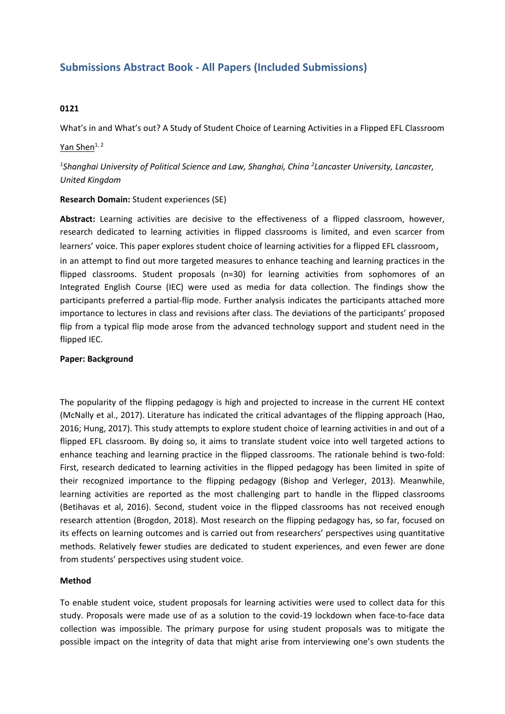# **Submissions Abstract Book - All Papers (Included Submissions)**

#### **0121**

What's in and What's out? A Study of Student Choice of Learning Activities in <sup>a</sup> Flipped EFL Classroom

## Yan Shen $1, 2$

*1 Shanghai University of Political Science and Law, Shanghai, China <sup>2</sup> Lancaster University, Lancaster, United Kingdom*

## **Research Domain:** Student experiences (SE)

**Abstract:** Learning activities are decisive to the effectiveness of <sup>a</sup> flipped classroom, however, research dedicated to learning activities in flipped classrooms is limited, and even scarcer from learners' voice. This paper explores student choice of learning activities for <sup>a</sup> flipped EFL classroom, in an attempt to find out more targeted measures to enhance teaching and learning practices in the flipped classrooms. Student proposals (n=30) for learning activities from sophomores of an Integrated English Course (IEC) were used as media for data collection. The findings show the participants preferred <sup>a</sup> partial-flip mode. Further analysis indicates the participants attached more importance to lectures in class and revisions after class. The deviations of the participants' proposed flip from <sup>a</sup> typical flip mode arose from the advanced technology support and student need in the flipped IEC.

#### **Paper: Background**

The popularity of the flipping pedagogy is high and projected to increase in the current HE context (McNally et al., 2017). Literature has indicated the critical advantages of the flipping approach (Hao, 2016; Hung, 2017). This study attempts to explore student choice of learning activities in and out of <sup>a</sup> flipped EFL classroom. By doing so, it aims to translate student voice into well targeted actions to enhance teaching and learning practice in the flipped classrooms. The rationale behind is two-fold: First, research dedicated to learning activities in the flipped pedagogy has been limited in spite of their recognized importance to the flipping pedagogy (Bishop and Verleger, 2013). Meanwhile, learning activities are reported as the most challenging part to handle in the flipped classrooms (Betihavas et al, 2016). Second, student voice in the flipped classrooms has not received enough research attention (Brogdon, 2018). Most research on the flipping pedagogy has, so far, focused on its effects on learning outcomes and is carried out from researchers' perspectives using quantitative methods. Relatively fewer studies are dedicated to student experiences, and even fewer are done from students' perspectives using student voice.

#### **Method**

To enable student voice, student proposals for learning activities were used to collect data for this study. Proposals were made use of as <sup>a</sup> solution to the covid-19 lockdown when face-to-face data collection was impossible. The primary purpose for using student proposals was to mitigate the possible impact on the integrity of data that might arise from interviewing one's own students the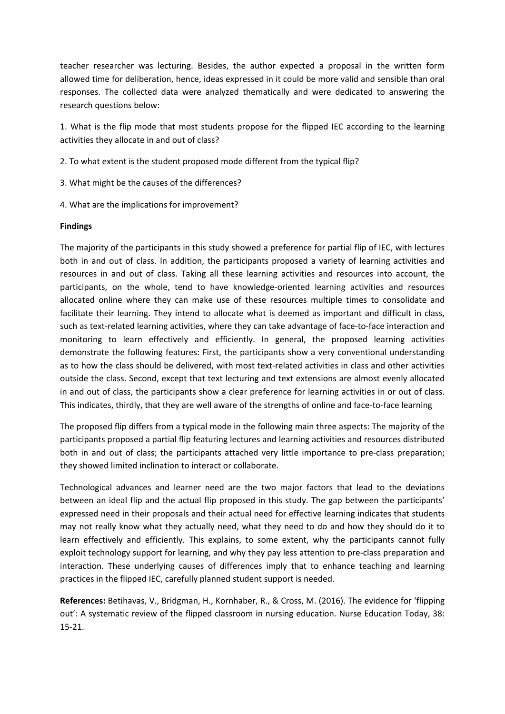teacher researcher was lecturing. Besides, the author expected <sup>a</sup> proposal in the written form allowed time for deliberation, hence, ideas expressed in it could be more valid and sensible than oral responses. The collected data were analyzed thematically and were dedicated to answering the research questions below:

1. What is the flip mode that most students propose for the flipped IEC according to the learning activities they allocate in and out of class?

- 2. To what extent is the student proposed mode different from the typical flip?
- 3. What might be the causes of the differences?
- 4. What are the implications for improvement?

## **Findings**

The majority of the participants in this study showed <sup>a</sup> preference for partial flip of IEC, with lectures both in and out of class. In addition, the participants proposed <sup>a</sup> variety of learning activities and resources in and out of class. Taking all these learning activities and resources into account, the participants, on the whole, tend to have knowledge-oriented learning activities and resources allocated online where they can make use of these resources multiple times to consolidate and facilitate their learning. They intend to allocate what is deemed as important and difficult in class, such as text-related learning activities, where they can take advantage of face-to-face interaction and monitoring to learn effectively and efficiently. In general, the proposed learning activities demonstrate the following features: First, the participants show <sup>a</sup> very conventional understanding as to how the class should be delivered, with most text-related activities in class and other activities outside the class. Second, except that text lecturing and text extensions are almost evenly allocated in and out of class, the participants show <sup>a</sup> clear preference for learning activities in or out of class. This indicates, thirdly, that they are well aware of the strengths of online and face-to-face learning

The proposed flip differs from <sup>a</sup> typical mode in the following main three aspects: The majority of the participants proposed <sup>a</sup> partial flip featuring lectures and learning activities and resources distributed both in and out of class; the participants attached very little importance to pre-class preparation; they showed limited inclination to interact or collaborate.

Technological advances and learner need are the two major factors that lead to the deviations between an ideal flip and the actual flip proposed in this study. The gap between the participants' expressed need in their proposals and their actual need for effective learning indicates that students may not really know what they actually need, what they need to do and how they should do it to learn effectively and efficiently. This explains, to some extent, why the participants cannot fully exploit technology support for learning, and why they pay less attention to pre-class preparation and interaction. These underlying causes of differences imply that to enhance teaching and learning practices in the flipped IEC, carefully planned student support is needed.

**References:** Betihavas, V., Bridgman, H., Kornhaber, R., & Cross, M. (2016). The evidence for 'flipping out': A systematic review of the flipped classroom in nursing education. Nurse Education Today, 38: 15-21.